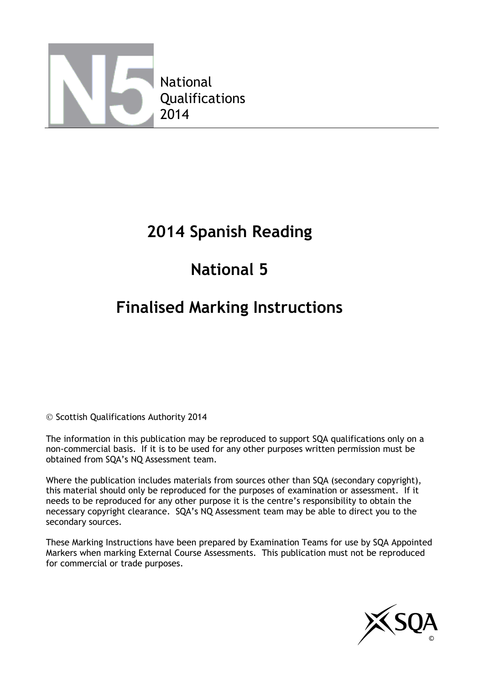

### **2014 Spanish Reading**

# **National 5**

### **Finalised Marking Instructions**

© Scottish Qualifications Authority 2014

The information in this publication may be reproduced to support SQA qualifications only on a non-commercial basis. If it is to be used for any other purposes written permission must be obtained from SQA's NQ Assessment team.

Where the publication includes materials from sources other than SQA (secondary copyright), this material should only be reproduced for the purposes of examination or assessment. If it needs to be reproduced for any other purpose it is the centre's responsibility to obtain the necessary copyright clearance. SQA's NQ Assessment team may be able to direct you to the secondary sources.

These Marking Instructions have been prepared by Examination Teams for use by SQA Appointed Markers when marking External Course Assessments. This publication must not be reproduced for commercial or trade purposes.

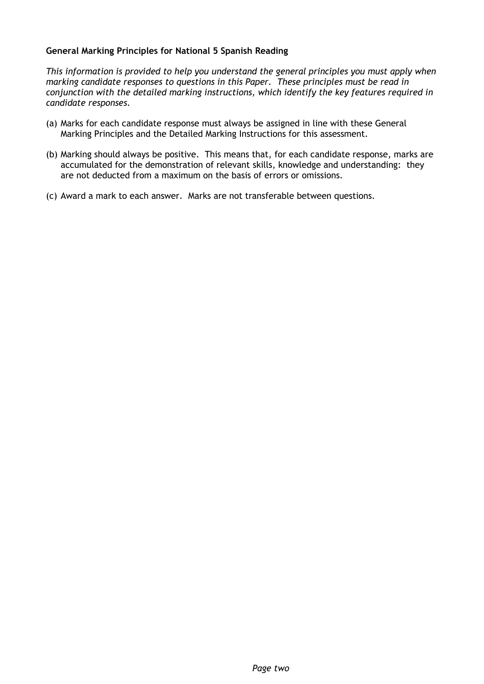#### **General Marking Principles for National 5 Spanish Reading**

*This information is provided to help you understand the general principles you must apply when marking candidate responses to questions in this Paper. These principles must be read in conjunction with the detailed marking instructions, which identify the key features required in candidate responses.*

- (a) Marks for each candidate response must always be assigned in line with these General Marking Principles and the Detailed Marking Instructions for this assessment.
- (b) Marking should always be positive. This means that, for each candidate response, marks are accumulated for the demonstration of relevant skills, knowledge and understanding: they are not deducted from a maximum on the basis of errors or omissions.
- (c) Award a mark to each answer. Marks are not transferable between questions.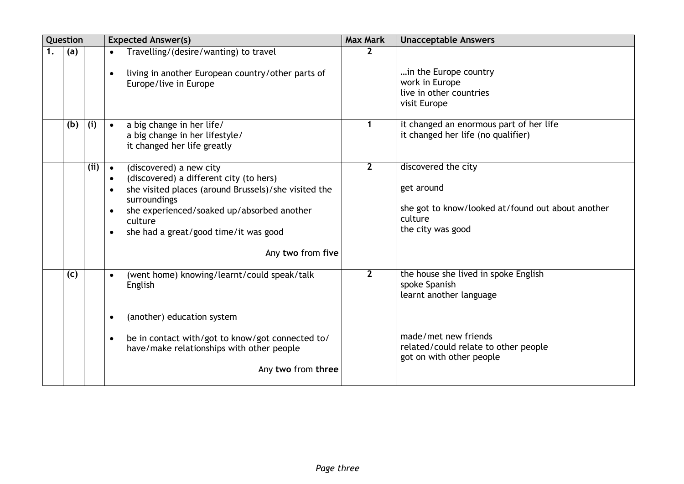| Question |      | <b>Expected Answer(s)</b>                                                                                                                                                                                                                                                                                             | <b>Max Mark</b> | <b>Unacceptable Answers</b>                                                                                            |
|----------|------|-----------------------------------------------------------------------------------------------------------------------------------------------------------------------------------------------------------------------------------------------------------------------------------------------------------------------|-----------------|------------------------------------------------------------------------------------------------------------------------|
| (a)      |      | Travelling/(desire/wanting) to travel<br>living in another European country/other parts of<br>$\bullet$<br>Europe/live in Europe                                                                                                                                                                                      | $\overline{2}$  | in the Europe country<br>work in Europe<br>live in other countries<br>visit Europe                                     |
| (b)      | (i)  | a big change in her life/<br>$\bullet$<br>a big change in her lifestyle/<br>it changed her life greatly                                                                                                                                                                                                               | 1               | it changed an enormous part of her life<br>it changed her life (no qualifier)                                          |
|          | (ii) | (discovered) a new city<br>$\bullet$<br>(discovered) a different city (to hers)<br>$\bullet$<br>she visited places (around Brussels)/she visited the<br>$\bullet$<br>surroundings<br>she experienced/soaked up/absorbed another<br>$\bullet$<br>culture<br>she had a great/good time/it was good<br>Any two from five | $\overline{2}$  | discovered the city<br>get around<br>she got to know/looked at/found out about another<br>culture<br>the city was good |
| (c)      |      | (went home) knowing/learnt/could speak/talk<br>$\bullet$<br>English<br>(another) education system                                                                                                                                                                                                                     | $\overline{2}$  | the house she lived in spoke English<br>spoke Spanish<br>learnt another language                                       |
|          |      | be in contact with/got to know/got connected to/<br>$\bullet$<br>have/make relationships with other people<br>Any two from three                                                                                                                                                                                      |                 | made/met new friends<br>related/could relate to other people<br>got on with other people                               |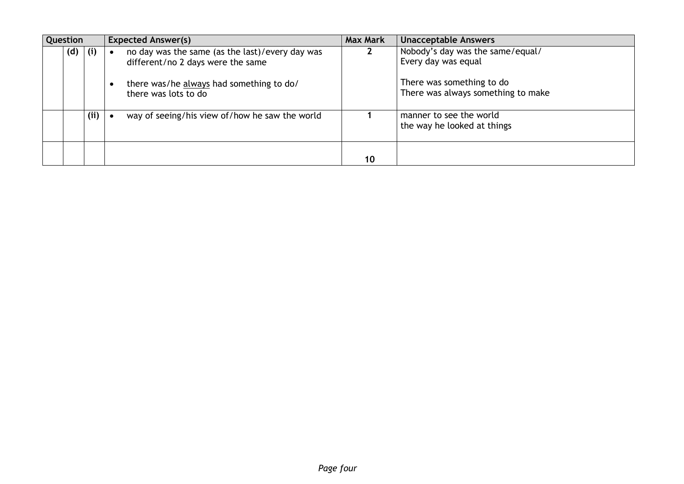| Question    |     | <b>Expected Answer(s)</b>                                                            | <b>Max Mark</b> | <b>Unacceptable Answers</b>                                     |
|-------------|-----|--------------------------------------------------------------------------------------|-----------------|-----------------------------------------------------------------|
| $(d)$ $(i)$ |     | no day was the same (as the last)/every day was<br>different/no 2 days were the same |                 | Nobody's day was the same/equal/<br>Every day was equal         |
|             |     | there was/he always had something to do/<br>there was lots to do                     |                 | There was something to do<br>There was always something to make |
|             | (i) | way of seeing/his view of/how he saw the world                                       |                 | manner to see the world<br>the way he looked at things          |
|             |     |                                                                                      | 10              |                                                                 |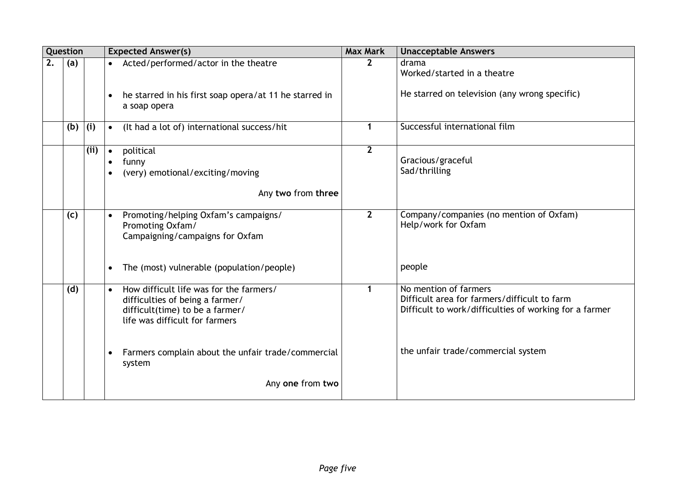|    | Question                                                                                                                                                            |     | <b>Expected Answer(s)</b>                                                                                | <b>Max Mark</b>                                                                                                                 | <b>Unacceptable Answers</b>                                    |
|----|---------------------------------------------------------------------------------------------------------------------------------------------------------------------|-----|----------------------------------------------------------------------------------------------------------|---------------------------------------------------------------------------------------------------------------------------------|----------------------------------------------------------------|
| 2. | (a)                                                                                                                                                                 |     | Acted/performed/actor in the theatre<br>$\bullet$                                                        |                                                                                                                                 | drama<br>Worked/started in a theatre                           |
|    |                                                                                                                                                                     |     | he starred in his first soap opera/at 11 he starred in<br>$\bullet$<br>a soap opera                      |                                                                                                                                 | He starred on television (any wrong specific)                  |
|    | (b)                                                                                                                                                                 | (i) | (It had a lot of) international success/hit<br>$\bullet$                                                 | 1                                                                                                                               | Successful international film                                  |
|    |                                                                                                                                                                     | (i) | political<br>$\bullet$<br>funny<br>$\bullet$<br>(very) emotional/exciting/moving<br>Any two from three   | $\mathbf{2}$                                                                                                                    | Gracious/graceful<br>Sad/thrilling                             |
|    | (c)                                                                                                                                                                 |     | Promoting/helping Oxfam's campaigns/<br>$\bullet$<br>Promoting Oxfam/<br>Campaigning/campaigns for Oxfam | $\overline{2}$                                                                                                                  | Company/companies (no mention of Oxfam)<br>Help/work for Oxfam |
|    |                                                                                                                                                                     |     | The (most) vulnerable (population/people)<br>$\bullet$                                                   |                                                                                                                                 | people                                                         |
|    | How difficult life was for the farmers/<br>(d)<br>$\bullet$<br>difficulties of being a farmer/<br>difficult(time) to be a farmer/<br>life was difficult for farmers |     |                                                                                                          | No mention of farmers<br>Difficult area for farmers/difficult to farm<br>Difficult to work/difficulties of working for a farmer |                                                                |
|    |                                                                                                                                                                     |     | Farmers complain about the unfair trade/commercial<br>$\bullet$<br>system                                |                                                                                                                                 | the unfair trade/commercial system                             |
|    |                                                                                                                                                                     |     | Any one from two                                                                                         |                                                                                                                                 |                                                                |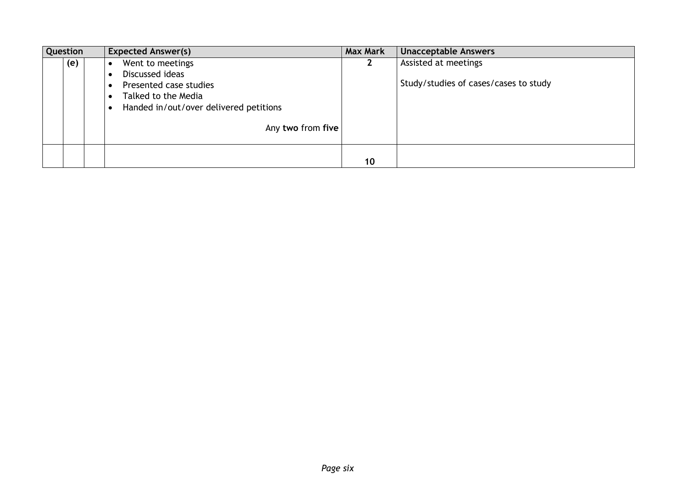| Question |     | <b>Expected Answer(s)</b>                                                                                                                           | <b>Max Mark</b> | <b>Unacceptable Answers</b>                                   |
|----------|-----|-----------------------------------------------------------------------------------------------------------------------------------------------------|-----------------|---------------------------------------------------------------|
|          | (e) | Went to meetings<br>Discussed ideas<br>Presented case studies<br>Talked to the Media<br>Handed in/out/over delivered petitions<br>Any two from five |                 | Assisted at meetings<br>Study/studies of cases/cases to study |
|          |     |                                                                                                                                                     | 10              |                                                               |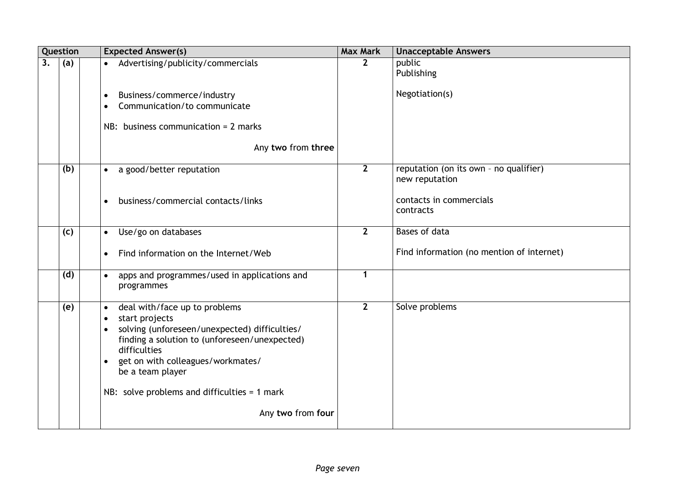|    | Question |  | <b>Expected Answer(s)</b>                                                                                                                                                                                                                                                                                                                | <b>Max Mark</b> | <b>Unacceptable Answers</b>                              |
|----|----------|--|------------------------------------------------------------------------------------------------------------------------------------------------------------------------------------------------------------------------------------------------------------------------------------------------------------------------------------------|-----------------|----------------------------------------------------------|
| 3. | (a)      |  | Advertising/publicity/commercials<br>$\bullet$                                                                                                                                                                                                                                                                                           | $\overline{2}$  | public<br>Publishing                                     |
|    |          |  | Business/commerce/industry<br>$\bullet$<br>Communication/to communicate<br>$\bullet$<br>NB: business communication = $2$ marks                                                                                                                                                                                                           |                 | Negotiation(s)                                           |
|    |          |  | Any two from three                                                                                                                                                                                                                                                                                                                       |                 |                                                          |
|    | (b)      |  | a good/better reputation<br>$\bullet$                                                                                                                                                                                                                                                                                                    | $\overline{2}$  | reputation (on its own - no qualifier)<br>new reputation |
|    |          |  | business/commercial contacts/links<br>$\bullet$                                                                                                                                                                                                                                                                                          |                 | contacts in commercials<br>contracts                     |
|    | (c)      |  | Use/go on databases<br>$\bullet$                                                                                                                                                                                                                                                                                                         | $\mathbf{2}$    | Bases of data                                            |
|    |          |  | Find information on the Internet/Web<br>$\bullet$                                                                                                                                                                                                                                                                                        |                 | Find information (no mention of internet)                |
|    | (d)      |  | apps and programmes/used in applications and<br>$\bullet$<br>programmes                                                                                                                                                                                                                                                                  | $\mathbf{1}$    |                                                          |
|    | (e)      |  | deal with/face up to problems<br>$\bullet$<br>start projects<br>$\bullet$<br>solving (unforeseen/unexpected) difficulties/<br>finding a solution to (unforeseen/unexpected)<br>difficulties<br>get on with colleagues/workmates/<br>$\bullet$<br>be a team player<br>NB: solve problems and difficulties = $1$ mark<br>Any two from four | $\overline{2}$  | Solve problems                                           |
|    |          |  |                                                                                                                                                                                                                                                                                                                                          |                 |                                                          |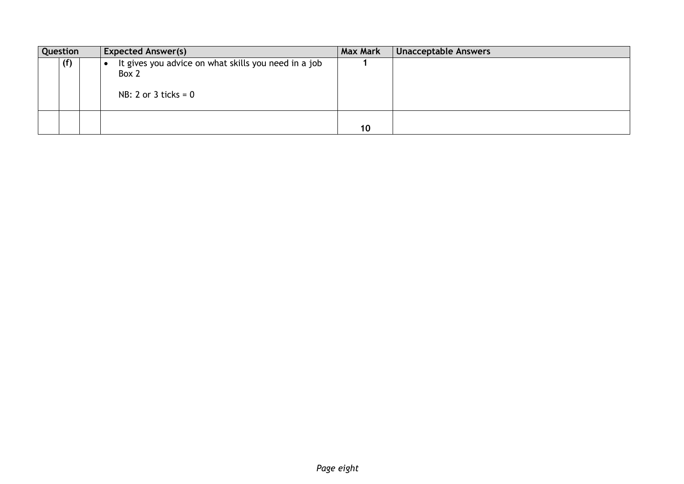| Question |     | <b>Expected Answer(s)</b>                                                               | <b>Max Mark</b> | Unacceptable Answers |
|----------|-----|-----------------------------------------------------------------------------------------|-----------------|----------------------|
|          | (f) | It gives you advice on what skills you need in a job<br>Box 2<br>$NB: 2$ or 3 ticks = 0 |                 |                      |
|          |     |                                                                                         | 10              |                      |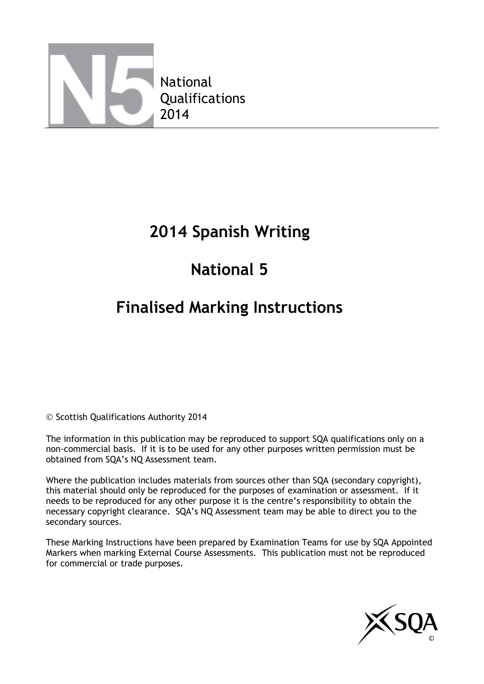

### **2014 Spanish Writing**

# **National 5**

### **Finalised Marking Instructions**

© Scottish Qualifications Authority 2014

The information in this publication may be reproduced to support SQA qualifications only on a non-commercial basis. If it is to be used for any other purposes written permission must be obtained from SQA's NQ Assessment team.

Where the publication includes materials from sources other than SQA (secondary copyright), this material should only be reproduced for the purposes of examination or assessment. If it needs to be reproduced for any other purpose it is the centre's responsibility to obtain the necessary copyright clearance. SQA's NQ Assessment team may be able to direct you to the secondary sources.

These Marking Instructions have been prepared by Examination Teams for use by SQA Appointed Markers when marking External Course Assessments. This publication must not be reproduced for commercial or trade purposes.

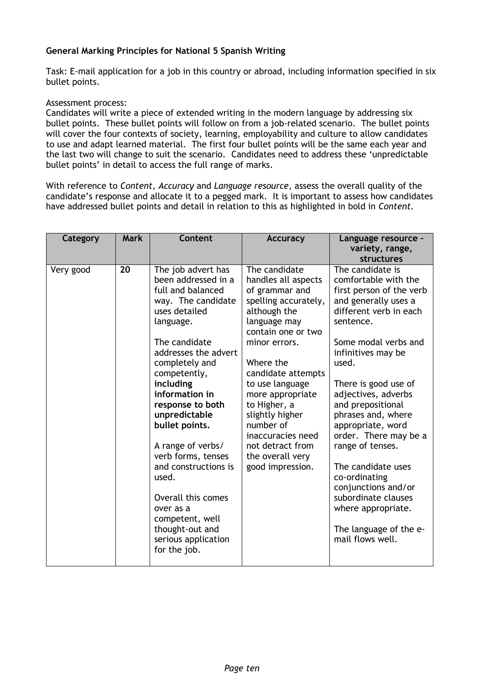#### **General Marking Principles for National 5 Spanish Writing**

Task: E-mail application for a job in this country or abroad, including information specified in six bullet points.

#### Assessment process:

Candidates will write a piece of extended writing in the modern language by addressing six bullet points. These bullet points will follow on from a job-related scenario. The bullet points will cover the four contexts of society, learning, employability and culture to allow candidates to use and adapt learned material. The first four bullet points will be the same each year and the last two will change to suit the scenario. Candidates need to address these 'unpredictable bullet points' in detail to access the full range of marks.

With reference to *Content, Accuracy* and *Language resource*, assess the overall quality of the candidate's response and allocate it to a pegged mark. It is important to assess how candidates have addressed bullet points and detail in relation to this as highlighted in bold in *Content.*

| Category  | <b>Mark</b> | Content                                                                                                                                                                                                                                                                                                                                                                                                                                                                         | <b>Accuracy</b>                                                                                                                                                                                                                                                                                                                                                  | Language resource -<br>variety, range,<br>structures                                                                                                                                                                                                                                                                                                                                                                                                                                                            |
|-----------|-------------|---------------------------------------------------------------------------------------------------------------------------------------------------------------------------------------------------------------------------------------------------------------------------------------------------------------------------------------------------------------------------------------------------------------------------------------------------------------------------------|------------------------------------------------------------------------------------------------------------------------------------------------------------------------------------------------------------------------------------------------------------------------------------------------------------------------------------------------------------------|-----------------------------------------------------------------------------------------------------------------------------------------------------------------------------------------------------------------------------------------------------------------------------------------------------------------------------------------------------------------------------------------------------------------------------------------------------------------------------------------------------------------|
| Very good | 20          | The job advert has<br>been addressed in a<br>full and balanced<br>way. The candidate<br>uses detailed<br>language.<br>The candidate<br>addresses the advert<br>completely and<br>competently,<br>including<br>information in<br>response to both<br>unpredictable<br>bullet points.<br>A range of verbs/<br>verb forms, tenses<br>and constructions is<br>used.<br>Overall this comes<br>over as a<br>competent, well<br>thought-out and<br>serious application<br>for the job. | The candidate<br>handles all aspects<br>of grammar and<br>spelling accurately,<br>although the<br>language may<br>contain one or two<br>minor errors.<br>Where the<br>candidate attempts<br>to use language<br>more appropriate<br>to Higher, a<br>slightly higher<br>number of<br>inaccuracies need<br>not detract from<br>the overall very<br>good impression. | The candidate is<br>comfortable with the<br>first person of the verb<br>and generally uses a<br>different verb in each<br>sentence.<br>Some modal verbs and<br>infinitives may be<br>used.<br>There is good use of<br>adjectives, adverbs<br>and prepositional<br>phrases and, where<br>appropriate, word<br>order. There may be a<br>range of tenses.<br>The candidate uses<br>co-ordinating<br>conjunctions and/or<br>subordinate clauses<br>where appropriate.<br>The language of the e-<br>mail flows well. |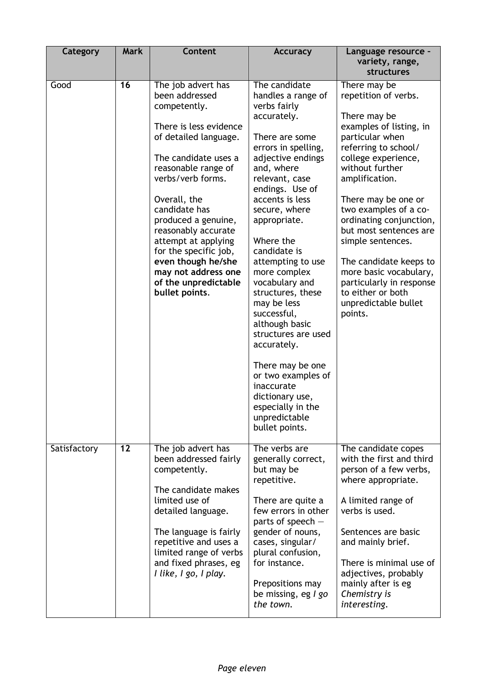| Category     | <b>Mark</b> | Content                                                                                                                                                                                                                                                                                                                                                                                           | <b>Accuracy</b>                                                                                                                                                                                                                                                                                                                                                                                                                                                                                                                                                           | Language resource -<br>variety, range,<br>structures                                                                                                                                                                                                                                                                                                                                                                                                     |
|--------------|-------------|---------------------------------------------------------------------------------------------------------------------------------------------------------------------------------------------------------------------------------------------------------------------------------------------------------------------------------------------------------------------------------------------------|---------------------------------------------------------------------------------------------------------------------------------------------------------------------------------------------------------------------------------------------------------------------------------------------------------------------------------------------------------------------------------------------------------------------------------------------------------------------------------------------------------------------------------------------------------------------------|----------------------------------------------------------------------------------------------------------------------------------------------------------------------------------------------------------------------------------------------------------------------------------------------------------------------------------------------------------------------------------------------------------------------------------------------------------|
| Good         | 16          | The job advert has<br>been addressed<br>competently.<br>There is less evidence<br>of detailed language.<br>The candidate uses a<br>reasonable range of<br>verbs/verb forms.<br>Overall, the<br>candidate has<br>produced a genuine,<br>reasonably accurate<br>attempt at applying<br>for the specific job,<br>even though he/she<br>may not address one<br>of the unpredictable<br>bullet points. | The candidate<br>handles a range of<br>verbs fairly<br>accurately.<br>There are some<br>errors in spelling,<br>adjective endings<br>and, where<br>relevant, case<br>endings. Use of<br>accents is less<br>secure, where<br>appropriate.<br>Where the<br>candidate is<br>attempting to use<br>more complex<br>vocabulary and<br>structures, these<br>may be less<br>successful,<br>although basic<br>structures are used<br>accurately.<br>There may be one<br>or two examples of<br>inaccurate<br>dictionary use,<br>especially in the<br>unpredictable<br>bullet points. | There may be<br>repetition of verbs.<br>There may be<br>examples of listing, in<br>particular when<br>referring to school/<br>college experience,<br>without further<br>amplification.<br>There may be one or<br>two examples of a co-<br>ordinating conjunction,<br>but most sentences are<br>simple sentences.<br>The candidate keeps to<br>more basic vocabulary,<br>particularly in response<br>to either or both<br>unpredictable bullet<br>points. |
| Satisfactory | 12          | The job advert has<br>been addressed fairly<br>competently.<br>The candidate makes<br>limited use of<br>detailed language.<br>The language is fairly<br>repetitive and uses a<br>limited range of verbs<br>and fixed phrases, eg<br>I like, I go, I play.                                                                                                                                         | The verbs are<br>generally correct,<br>but may be<br>repetitive.<br>There are quite a<br>few errors in other<br>parts of speech $-$<br>gender of nouns,<br>cases, singular/<br>plural confusion,<br>for instance.<br>Prepositions may<br>be missing, eg I go<br>the town.                                                                                                                                                                                                                                                                                                 | The candidate copes<br>with the first and third<br>person of a few verbs,<br>where appropriate.<br>A limited range of<br>verbs is used.<br>Sentences are basic<br>and mainly brief.<br>There is minimal use of<br>adjectives, probably<br>mainly after is eg<br>Chemistry is<br>interesting.                                                                                                                                                             |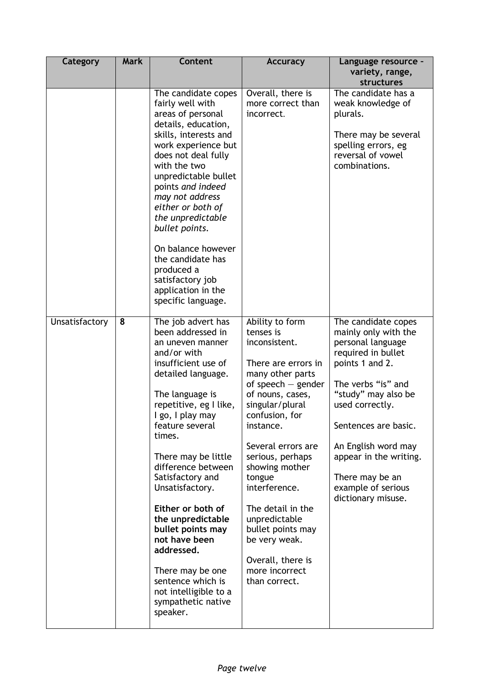| Category       | <b>Mark</b> | <b>Content</b>                                                                                                                                                                                                                                                                                                                                                                                                                                                                                              | <b>Accuracy</b>                                                                                                                                                                                                                                                                                                                                                                                                   | Language resource -<br>variety, range,<br>structures                                                                                                                                                                                                                                                              |
|----------------|-------------|-------------------------------------------------------------------------------------------------------------------------------------------------------------------------------------------------------------------------------------------------------------------------------------------------------------------------------------------------------------------------------------------------------------------------------------------------------------------------------------------------------------|-------------------------------------------------------------------------------------------------------------------------------------------------------------------------------------------------------------------------------------------------------------------------------------------------------------------------------------------------------------------------------------------------------------------|-------------------------------------------------------------------------------------------------------------------------------------------------------------------------------------------------------------------------------------------------------------------------------------------------------------------|
|                |             | The candidate copes<br>fairly well with<br>areas of personal<br>details, education,<br>skills, interests and<br>work experience but<br>does not deal fully<br>with the two<br>unpredictable bullet<br>points and indeed<br>may not address<br>either or both of<br>the unpredictable<br>bullet points.<br>On balance however<br>the candidate has<br>produced a<br>satisfactory job<br>application in the<br>specific language.                                                                             | Overall, there is<br>more correct than<br>incorrect.                                                                                                                                                                                                                                                                                                                                                              | The candidate has a<br>weak knowledge of<br>plurals.<br>There may be several<br>spelling errors, eg<br>reversal of vowel<br>combinations.                                                                                                                                                                         |
| Unsatisfactory | 8           | The job advert has<br>been addressed in<br>an uneven manner<br>and/or with<br>insufficient use of<br>detailed language.<br>The language is<br>repetitive, eg I like,<br>I go, I play may<br>feature several<br>times.<br>There may be little<br>difference between<br>Satisfactory and<br>Unsatisfactory.<br>Either or both of<br>the unpredictable<br>bullet points may<br>not have been<br>addressed.<br>There may be one<br>sentence which is<br>not intelligible to a<br>sympathetic native<br>speaker. | Ability to form<br>tenses is<br>inconsistent.<br>There are errors in<br>many other parts<br>of speech $-$ gender<br>of nouns, cases,<br>singular/plural<br>confusion, for<br>instance.<br>Several errors are<br>serious, perhaps<br>showing mother<br>tongue<br>interference.<br>The detail in the<br>unpredictable<br>bullet points may<br>be very weak.<br>Overall, there is<br>more incorrect<br>than correct. | The candidate copes<br>mainly only with the<br>personal language<br>required in bullet<br>points 1 and 2.<br>The verbs "is" and<br>"study" may also be<br>used correctly.<br>Sentences are basic.<br>An English word may<br>appear in the writing.<br>There may be an<br>example of serious<br>dictionary misuse. |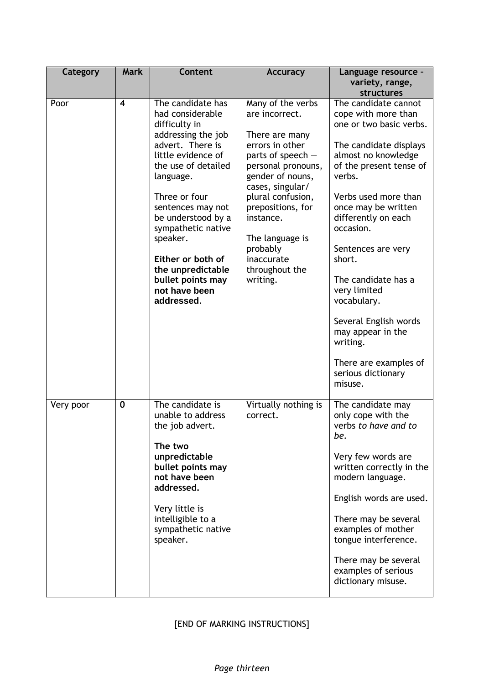| Category  | <b>Mark</b> | <b>Content</b>                                                                                                                                                                                                                                                                                                                                         | <b>Accuracy</b>                                                                                                                                                                                                                                                                               | Language resource -<br>variety, range,<br>structures                                                                                                                                                                                                                                                                                                                                                                                                      |
|-----------|-------------|--------------------------------------------------------------------------------------------------------------------------------------------------------------------------------------------------------------------------------------------------------------------------------------------------------------------------------------------------------|-----------------------------------------------------------------------------------------------------------------------------------------------------------------------------------------------------------------------------------------------------------------------------------------------|-----------------------------------------------------------------------------------------------------------------------------------------------------------------------------------------------------------------------------------------------------------------------------------------------------------------------------------------------------------------------------------------------------------------------------------------------------------|
| Poor      | 4           | The candidate has<br>had considerable<br>difficulty in<br>addressing the job<br>advert. There is<br>little evidence of<br>the use of detailed<br>language.<br>Three or four<br>sentences may not<br>be understood by a<br>sympathetic native<br>speaker.<br>Either or both of<br>the unpredictable<br>bullet points may<br>not have been<br>addressed. | Many of the verbs<br>are incorrect.<br>There are many<br>errors in other<br>parts of speech -<br>personal pronouns,<br>gender of nouns,<br>cases, singular/<br>plural confusion,<br>prepositions, for<br>instance.<br>The language is<br>probably<br>inaccurate<br>throughout the<br>writing. | The candidate cannot<br>cope with more than<br>one or two basic verbs.<br>The candidate displays<br>almost no knowledge<br>of the present tense of<br>verbs.<br>Verbs used more than<br>once may be written<br>differently on each<br>occasion.<br>Sentences are very<br>short.<br>The candidate has a<br>very limited<br>vocabulary.<br>Several English words<br>may appear in the<br>writing.<br>There are examples of<br>serious dictionary<br>misuse. |
| Very poor | $\mathbf 0$ | The candidate is<br>unable to address<br>the job advert.<br>The two<br>unpredictable<br>bullet points may<br>not have been<br>addressed.<br>Very little is<br>intelligible to a<br>sympathetic native<br>speaker.                                                                                                                                      | Virtually nothing is<br>correct.                                                                                                                                                                                                                                                              | The candidate may<br>only cope with the<br>verbs to have and to<br>be.<br>Very few words are<br>written correctly in the<br>modern language.<br>English words are used.<br>There may be several<br>examples of mother<br>tongue interference.<br>There may be several<br>examples of serious<br>dictionary misuse.                                                                                                                                        |

### [END OF MARKING INSTRUCTIONS]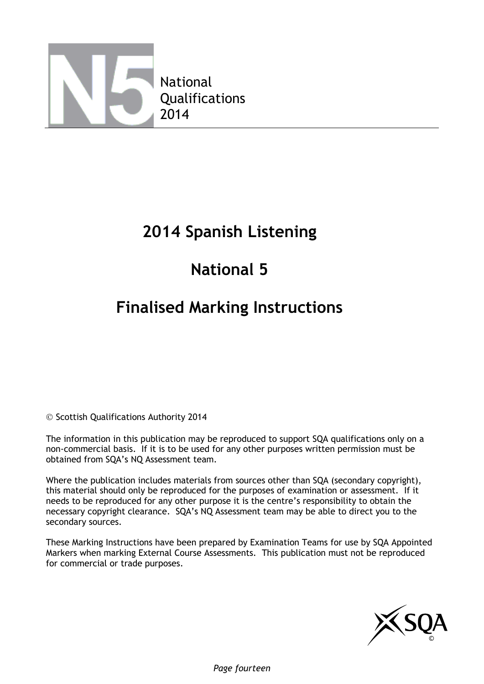

### **2014 Spanish Listening**

# **National 5**

### **Finalised Marking Instructions**

© Scottish Qualifications Authority 2014

The information in this publication may be reproduced to support SQA qualifications only on a non-commercial basis. If it is to be used for any other purposes written permission must be obtained from SQA's NQ Assessment team.

Where the publication includes materials from sources other than SQA (secondary copyright), this material should only be reproduced for the purposes of examination or assessment. If it needs to be reproduced for any other purpose it is the centre's responsibility to obtain the necessary copyright clearance. SQA's NQ Assessment team may be able to direct you to the secondary sources.

These Marking Instructions have been prepared by Examination Teams for use by SQA Appointed Markers when marking External Course Assessments. This publication must not be reproduced for commercial or trade purposes.

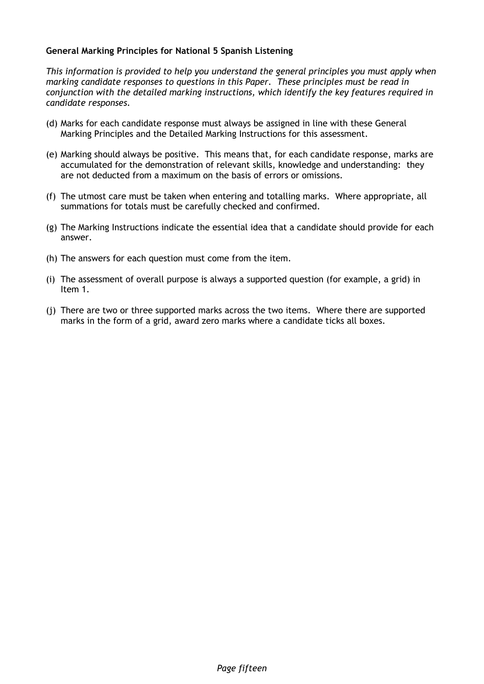#### **General Marking Principles for National 5 Spanish Listening**

*This information is provided to help you understand the general principles you must apply when marking candidate responses to questions in this Paper. These principles must be read in conjunction with the detailed marking instructions, which identify the key features required in candidate responses.*

- (d) Marks for each candidate response must always be assigned in line with these General Marking Principles and the Detailed Marking Instructions for this assessment.
- (e) Marking should always be positive. This means that, for each candidate response, marks are accumulated for the demonstration of relevant skills, knowledge and understanding: they are not deducted from a maximum on the basis of errors or omissions.
- (f) The utmost care must be taken when entering and totalling marks. Where appropriate, all summations for totals must be carefully checked and confirmed.
- (g) The Marking Instructions indicate the essential idea that a candidate should provide for each answer.
- (h) The answers for each question must come from the item.
- (i) The assessment of overall purpose is always a supported question (for example, a grid) in Item 1.
- (j) There are two or three supported marks across the two items. Where there are supported marks in the form of a grid, award zero marks where a candidate ticks all boxes.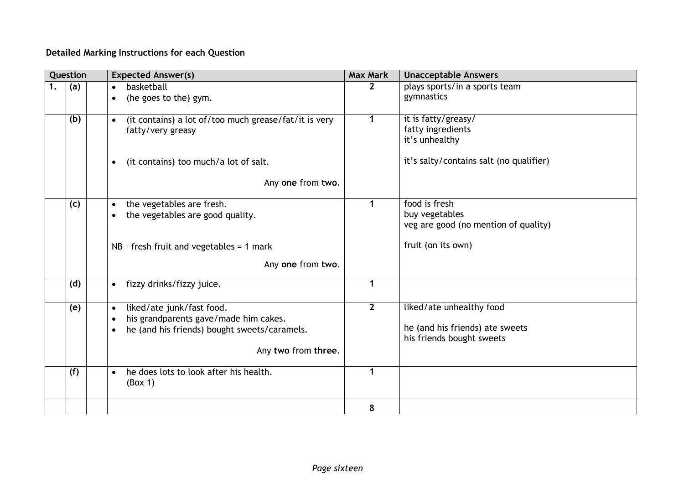### **Detailed Marking Instructions for each Question**

|    | Question | <b>Expected Answer(s)</b>                                                  | <b>Max Mark</b> | <b>Unacceptable Answers</b>              |  |
|----|----------|----------------------------------------------------------------------------|-----------------|------------------------------------------|--|
| 1. | (a)      | basketball<br>$\bullet$                                                    | $\mathbf{2}$    | plays sports/in a sports team            |  |
|    |          | (he goes to the) gym.<br>$\bullet$                                         |                 | gymnastics                               |  |
|    |          |                                                                            |                 |                                          |  |
|    | (b)      | (it contains) a lot of/too much grease/fat/it is very<br>$\bullet$         | $\mathbf 1$     | it is fatty/greasy/<br>fatty ingredients |  |
|    |          | fatty/very greasy                                                          |                 | it's unhealthy                           |  |
|    |          |                                                                            |                 |                                          |  |
|    |          | (it contains) too much/a lot of salt.<br>$\bullet$                         |                 | it's salty/contains salt (no qualifier)  |  |
|    |          |                                                                            |                 |                                          |  |
|    |          | Any one from two.                                                          |                 |                                          |  |
|    |          |                                                                            | 1               | food is fresh                            |  |
|    | (c)      | the vegetables are fresh.<br>$\bullet$<br>the vegetables are good quality. |                 | buy vegetables                           |  |
|    |          |                                                                            |                 | veg are good (no mention of quality)     |  |
|    |          |                                                                            |                 |                                          |  |
|    |          | $NB - fresh$ fruit and vegetables = 1 mark                                 |                 | fruit (on its own)                       |  |
|    |          | Any one from two.                                                          |                 |                                          |  |
|    | (d)      | fizzy drinks/fizzy juice.<br>$\bullet$                                     | 1               |                                          |  |
|    |          |                                                                            |                 |                                          |  |
|    | (e)      | liked/ate junk/fast food.<br>$\bullet$                                     | $\overline{2}$  | liked/ate unhealthy food                 |  |
|    |          | his grandparents gave/made him cakes.                                      |                 |                                          |  |
|    |          | he (and his friends) bought sweets/caramels.                               |                 | he (and his friends) ate sweets          |  |
|    |          |                                                                            |                 | his friends bought sweets                |  |
|    |          | Any two from three.                                                        |                 |                                          |  |
|    |          |                                                                            | 1               |                                          |  |
|    | (f)      | he does lots to look after his health.<br>$\bullet$                        |                 |                                          |  |
|    |          | (Box 1)                                                                    |                 |                                          |  |
|    |          |                                                                            | 8               |                                          |  |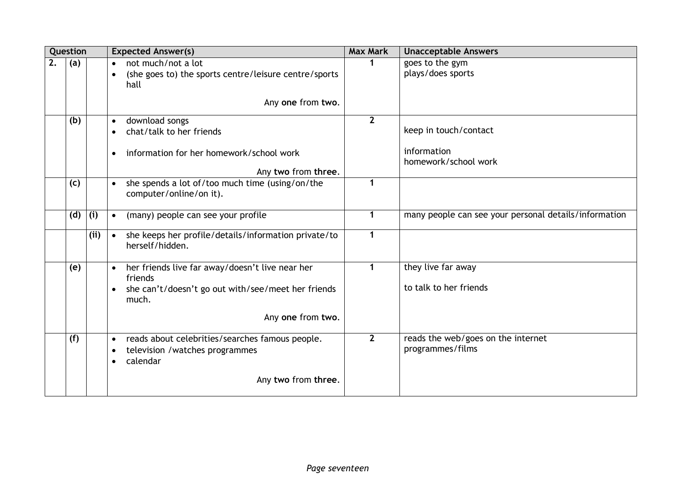|    | Question |      | <b>Expected Answer(s)</b>                                                                                             | <b>Max Mark</b> | <b>Unacceptable Answers</b>                            |
|----|----------|------|-----------------------------------------------------------------------------------------------------------------------|-----------------|--------------------------------------------------------|
| 2. | (a)      |      | not much/not a lot<br>$\bullet$<br>(she goes to) the sports centre/leisure centre/sports<br>hall<br>Any one from two. |                 | goes to the gym<br>plays/does sports                   |
|    | (b)      |      | download songs<br>$\bullet$<br>chat/talk to her friends<br>information for her homework/school work                   | 2 <sup>2</sup>  | keep in touch/contact<br>information                   |
|    |          |      | Any two from three.                                                                                                   |                 | homework/school work                                   |
|    | (c)      |      | she spends a lot of/too much time (using/on/the<br>$\bullet$<br>computer/online/on it).                               | 1               |                                                        |
|    | (d)      | (i)  | (many) people can see your profile<br>$\bullet$                                                                       | 1               | many people can see your personal details/information  |
|    |          | (ii) | she keeps her profile/details/information private/to<br>$\bullet$<br>herself/hidden.                                  | 1               |                                                        |
|    | (e)      |      | her friends live far away/doesn't live near her<br>$\bullet$<br>friends                                               | $\mathbf{1}$    | they live far away                                     |
|    |          |      | she can't/doesn't go out with/see/meet her friends<br>much.                                                           |                 | to talk to her friends                                 |
|    |          |      | Any one from two.                                                                                                     |                 |                                                        |
|    | (f)      |      | reads about celebrities/searches famous people.<br>$\bullet$<br>television / watches programmes<br>calendar           | $\mathbf{2}$    | reads the web/goes on the internet<br>programmes/films |
|    |          |      | Any two from three.                                                                                                   |                 |                                                        |